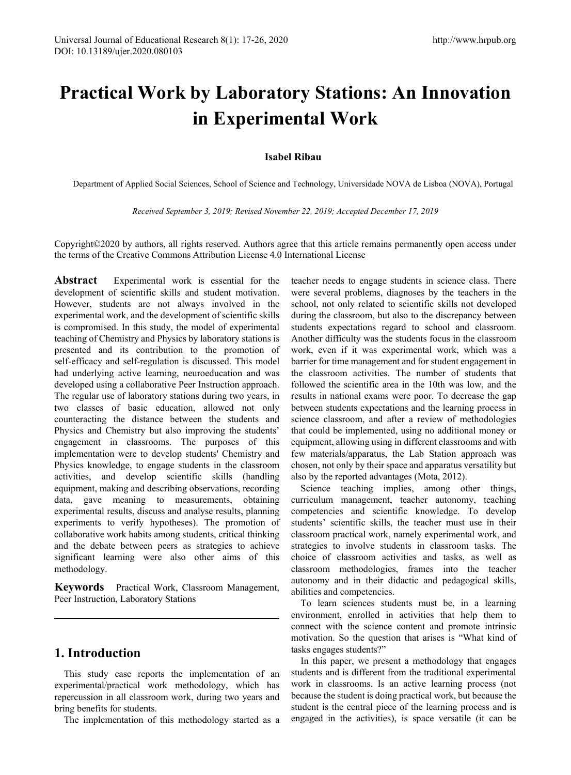# **Practical Work by Laboratory Stations: An Innovation in Experimental Work**

## **Isabel Ribau**

Department of Applied Social Sciences, School of Science and Technology, Universidade NOVA de Lisboa (NOVA), Portugal

*Received September 3, 2019; Revised November 22, 2019; Accepted December 17, 2019*

Copyright©2020 by authors, all rights reserved. Authors agree that this article remains permanently open access under the terms of the Creative Commons Attribution License 4.0 International License

**Abstract** Experimental work is essential for the development of scientific skills and student motivation. However, students are not always involved in the experimental work, and the development of scientific skills is compromised. In this study, the model of experimental teaching of Chemistry and Physics by laboratory stations is presented and its contribution to the promotion of self-efficacy and self-regulation is discussed. This model had underlying active learning, neuroeducation and was developed using a collaborative Peer Instruction approach. The regular use of laboratory stations during two years, in two classes of basic education, allowed not only counteracting the distance between the students and Physics and Chemistry but also improving the students' engagement in classrooms. The purposes of this implementation were to develop students' Chemistry and Physics knowledge, to engage students in the classroom activities, and develop scientific skills (handling equipment, making and describing observations, recording data, gave meaning to measurements, obtaining experimental results, discuss and analyse results, planning experiments to verify hypotheses). The promotion of collaborative work habits among students, critical thinking and the debate between peers as strategies to achieve significant learning were also other aims of this methodology.

**Keywords** Practical Work, Classroom Management, Peer Instruction, Laboratory Stations

# **1. Introduction**

This study case reports the implementation of an experimental/practical work methodology, which has repercussion in all classroom work, during two years and bring benefits for students.

The implementation of this methodology started as a

teacher needs to engage students in science class. There were several problems, diagnoses by the teachers in the school, not only related to scientific skills not developed during the classroom, but also to the discrepancy between students expectations regard to school and classroom. Another difficulty was the students focus in the classroom work, even if it was experimental work, which was a barrier for time management and for student engagement in the classroom activities. The number of students that followed the scientific area in the 10th was low, and the results in national exams were poor. To decrease the gap between students expectations and the learning process in science classroom, and after a review of methodologies that could be implemented, using no additional money or equipment, allowing using in different classrooms and with few materials/apparatus, the Lab Station approach was chosen, not only by their space and apparatus versatility but also by the reported advantages (Mota, 2012).

Science teaching implies, among other things, curriculum management, teacher autonomy, teaching competencies and scientific knowledge. To develop students' scientific skills, the teacher must use in their classroom practical work, namely experimental work, and strategies to involve students in classroom tasks. The choice of classroom activities and tasks, as well as classroom methodologies, frames into the teacher autonomy and in their didactic and pedagogical skills, abilities and competencies.

To learn sciences students must be, in a learning environment, enrolled in activities that help them to connect with the science content and promote intrinsic motivation. So the question that arises is "What kind of tasks engages students?"

In this paper, we present a methodology that engages students and is different from the traditional experimental work in classrooms. Is an active learning process (not because the student is doing practical work, but because the student is the central piece of the learning process and is engaged in the activities), is space versatile (it can be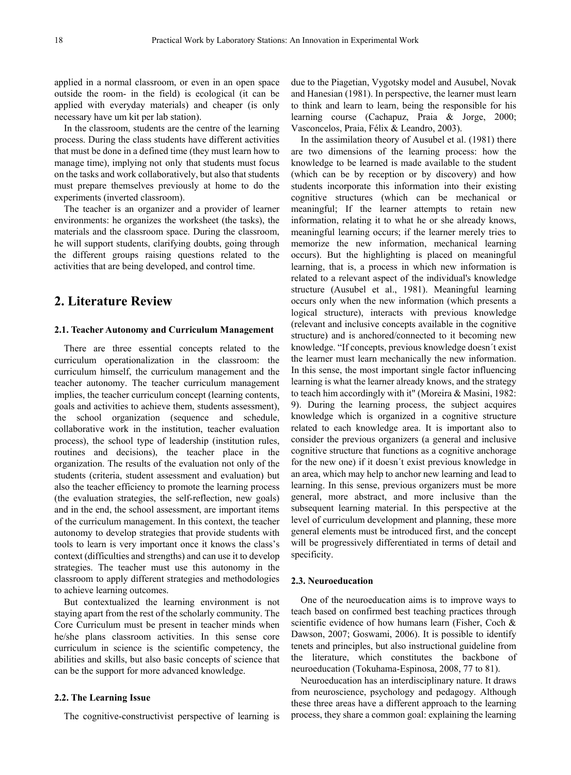applied in a normal classroom, or even in an open space outside the room- in the field) is ecological (it can be applied with everyday materials) and cheaper (is only necessary have um kit per lab station).

In the classroom, students are the centre of the learning process. During the class students have different activities that must be done in a defined time (they must learn how to manage time), implying not only that students must focus on the tasks and work collaboratively, but also that students must prepare themselves previously at home to do the experiments (inverted classroom).

The teacher is an organizer and a provider of learner environments: he organizes the worksheet (the tasks), the materials and the classroom space. During the classroom, he will support students, clarifying doubts, going through the different groups raising questions related to the activities that are being developed, and control time.

## **2. Literature Review**

#### **2.1. Teacher Autonomy and Curriculum Management**

There are three essential concepts related to the curriculum operationalization in the classroom: the curriculum himself, the curriculum management and the teacher autonomy. The teacher curriculum management implies, the teacher curriculum concept (learning contents, goals and activities to achieve them, students assessment), the school organization (sequence and schedule, collaborative work in the institution, teacher evaluation process), the school type of leadership (institution rules, routines and decisions), the teacher place in the organization. The results of the evaluation not only of the students (criteria, student assessment and evaluation) but also the teacher efficiency to promote the learning process (the evaluation strategies, the self-reflection, new goals) and in the end, the school assessment, are important items of the curriculum management. In this context, the teacher autonomy to develop strategies that provide students with tools to learn is very important once it knows the class's context (difficulties and strengths) and can use it to develop strategies. The teacher must use this autonomy in the classroom to apply different strategies and methodologies to achieve learning outcomes.

But contextualized the learning environment is not staying apart from the rest of the scholarly community. The Core Curriculum must be present in teacher minds when he/she plans classroom activities. In this sense core curriculum in science is the scientific competency, the abilities and skills, but also basic concepts of science that can be the support for more advanced knowledge.

### **2.2. The Learning Issue**

The cognitive-constructivist perspective of learning is

due to the Piagetian, Vygotsky model and Ausubel, Novak and Hanesian (1981). In perspective, the learner must learn to think and learn to learn, being the responsible for his learning course (Cachapuz, Praia & Jorge, 2000; Vasconcelos, Praia, Félix & Leandro, 2003).

In the assimilation theory of Ausubel et al. (1981) there are two dimensions of the learning process: how the knowledge to be learned is made available to the student (which can be by reception or by discovery) and how students incorporate this information into their existing cognitive structures (which can be mechanical or meaningful; If the learner attempts to retain new information, relating it to what he or she already knows, meaningful learning occurs; if the learner merely tries to memorize the new information, mechanical learning occurs). But the highlighting is placed on meaningful learning, that is, a process in which new information is related to a relevant aspect of the individual's knowledge structure (Ausubel et al., 1981). Meaningful learning occurs only when the new information (which presents a logical structure), interacts with previous knowledge (relevant and inclusive concepts available in the cognitive structure) and is anchored/connected to it becoming new knowledge. "If concepts, previous knowledge doesn´t exist the learner must learn mechanically the new information. In this sense, the most important single factor influencing learning is what the learner already knows, and the strategy to teach him accordingly with it" (Moreira & Masini, 1982: 9). During the learning process, the subject acquires knowledge which is organized in a cognitive structure related to each knowledge area. It is important also to consider the previous organizers (a general and inclusive cognitive structure that functions as a cognitive anchorage for the new one) if it doesn´t exist previous knowledge in an area, which may help to anchor new learning and lead to learning. In this sense, previous organizers must be more general, more abstract, and more inclusive than the subsequent learning material. In this perspective at the level of curriculum development and planning, these more general elements must be introduced first, and the concept will be progressively differentiated in terms of detail and specificity.

#### **2.3. Neuroeducation**

One of the neuroeducation aims is to improve ways to teach based on confirmed best teaching practices through scientific evidence of how humans learn (Fisher, Coch & Dawson, 2007; Goswami, 2006). It is possible to identify tenets and principles, but also instructional guideline from the literature, which constitutes the backbone of neuroeducation (Tokuhama-Espinosa, 2008, 77 to 81).

Neuroeducation has an interdisciplinary nature. It draws from neuroscience, psychology and pedagogy. Although these three areas have a different approach to the learning process, they share a common goal: explaining the learning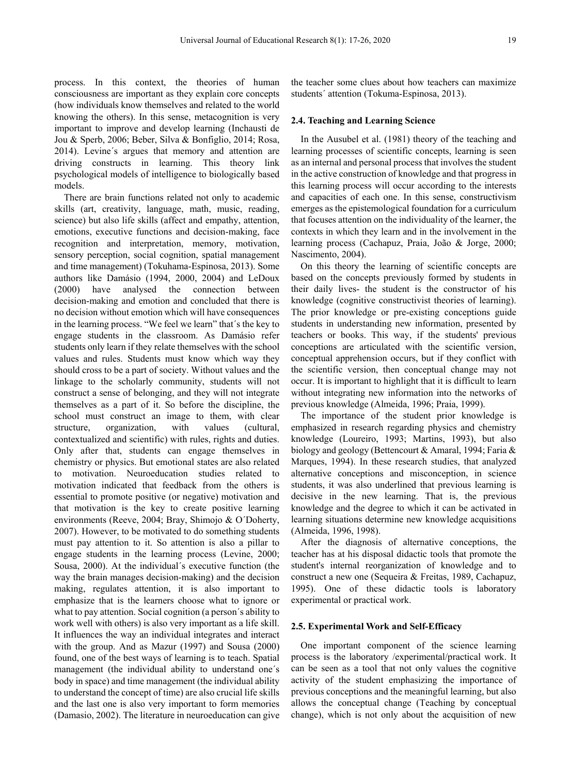process. In this context, the theories of human consciousness are important as they explain core concepts (how individuals know themselves and related to the world knowing the others). In this sense, metacognition is very important to improve and develop learning (Inchausti de Jou & Sperb, 2006; Beber, Silva & Bonfiglio, 2014; Rosa, 2014). Levine´s argues that memory and attention are driving constructs in learning. This theory link psychological models of intelligence to biologically based models.

There are brain functions related not only to academic skills (art, creativity, language, math, music, reading, science) but also life skills (affect and empathy, attention, emotions, executive functions and decision-making, face recognition and interpretation, memory, motivation, sensory perception, social cognition, spatial management and time management) (Tokuhama-Espinosa, 2013). Some authors like Damásio (1994, 2000, 2004) and LeDoux (2000) have analysed the connection between decision-making and emotion and concluded that there is no decision without emotion which will have consequences in the learning process. "We feel we learn" that´s the key to engage students in the classroom. As Damásio refer students only learn if they relate themselves with the school values and rules. Students must know which way they should cross to be a part of society. Without values and the linkage to the scholarly community, students will not construct a sense of belonging, and they will not integrate themselves as a part of it. So before the discipline, the school must construct an image to them, with clear structure, organization, with values (cultural, contextualized and scientific) with rules, rights and duties. Only after that, students can engage themselves in chemistry or physics. But emotional states are also related to motivation. Neuroeducation studies related to motivation indicated that feedback from the others is essential to promote positive (or negative) motivation and that motivation is the key to create positive learning environments (Reeve, 2004; Bray, Shimojo & O´Doherty, 2007). However, to be motivated to do something students must pay attention to it. So attention is also a pillar to engage students in the learning process (Levine, 2000; Sousa, 2000). At the individual´s executive function (the way the brain manages decision-making) and the decision making, regulates attention, it is also important to emphasize that is the learners choose what to ignore or what to pay attention. Social cognition (a person´s ability to work well with others) is also very important as a life skill. It influences the way an individual integrates and interact with the group. And as Mazur (1997) and Sousa (2000) found, one of the best ways of learning is to teach. Spatial management (the individual ability to understand one´s body in space) and time management (the individual ability to understand the concept of time) are also crucial life skills and the last one is also very important to form memories (Damasio, 2002). The literature in neuroeducation can give

the teacher some clues about how teachers can maximize students´ attention (Tokuma-Espinosa, 2013).

#### **2.4. Teaching and Learning Science**

In the Ausubel et al. (1981) theory of the teaching and learning processes of scientific concepts, learning is seen as an internal and personal process that involves the student in the active construction of knowledge and that progress in this learning process will occur according to the interests and capacities of each one. In this sense, constructivism emerges as the epistemological foundation for a curriculum that focuses attention on the individuality of the learner, the contexts in which they learn and in the involvement in the learning process (Cachapuz, Praia, João & Jorge, 2000; Nascimento, 2004).

On this theory the learning of scientific concepts are based on the concepts previously formed by students in their daily lives- the student is the constructor of his knowledge (cognitive constructivist theories of learning). The prior knowledge or pre-existing conceptions guide students in understanding new information, presented by teachers or books. This way, if the students' previous conceptions are articulated with the scientific version, conceptual apprehension occurs, but if they conflict with the scientific version, then conceptual change may not occur. It is important to highlight that it is difficult to learn without integrating new information into the networks of previous knowledge (Almeida, 1996; Praia, 1999).

The importance of the student prior knowledge is emphasized in research regarding physics and chemistry knowledge (Loureiro, 1993; Martins, 1993), but also biology and geology (Bettencourt & Amaral, 1994; Faria & Marques, 1994). In these research studies, that analyzed alternative conceptions and misconception, in science students, it was also underlined that previous learning is decisive in the new learning. That is, the previous knowledge and the degree to which it can be activated in learning situations determine new knowledge acquisitions (Almeida, 1996, 1998).

After the diagnosis of alternative conceptions, the teacher has at his disposal didactic tools that promote the student's internal reorganization of knowledge and to construct a new one (Sequeira & Freitas, 1989, Cachapuz, 1995). One of these didactic tools is laboratory experimental or practical work.

#### **2.5. Experimental Work and Self-Efficacy**

One important component of the science learning process is the laboratory /experimental/practical work. It can be seen as a tool that not only values the cognitive activity of the student emphasizing the importance of previous conceptions and the meaningful learning, but also allows the conceptual change (Teaching by conceptual change), which is not only about the acquisition of new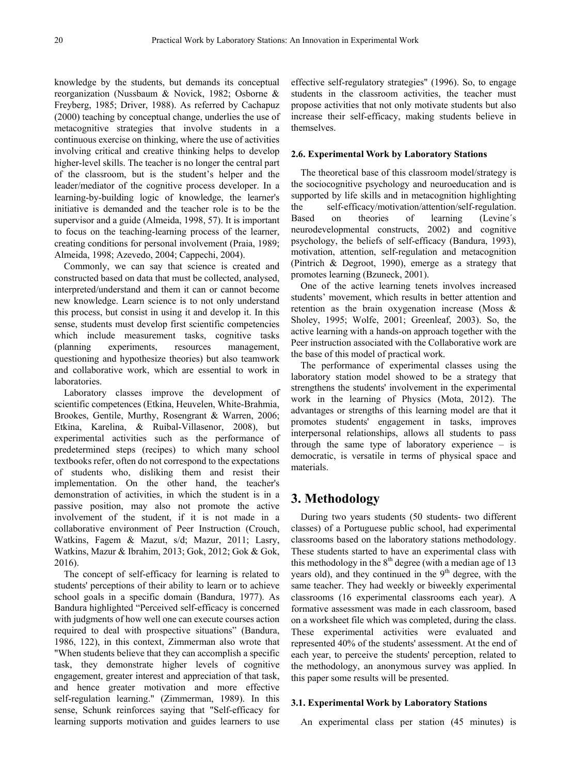knowledge by the students, but demands its conceptual reorganization (Nussbaum & Novick, 1982; Osborne & Freyberg, 1985; Driver, 1988). As referred by Cachapuz (2000) teaching by conceptual change, underlies the use of metacognitive strategies that involve students in a continuous exercise on thinking, where the use of activities involving critical and creative thinking helps to develop higher-level skills. The teacher is no longer the central part of the classroom, but is the student's helper and the leader/mediator of the cognitive process developer. In a learning-by-building logic of knowledge, the learner's initiative is demanded and the teacher role is to be the supervisor and a guide (Almeida, 1998, 57). It is important to focus on the teaching-learning process of the learner, creating conditions for personal involvement (Praia, 1989; Almeida, 1998; Azevedo, 2004; Cappechi, 2004).

Commonly, we can say that science is created and constructed based on data that must be collected, analysed, interpreted/understand and them it can or cannot become new knowledge. Learn science is to not only understand this process, but consist in using it and develop it. In this sense, students must develop first scientific competencies which include measurement tasks, cognitive tasks (planning experiments, resources management, questioning and hypothesize theories) but also teamwork and collaborative work, which are essential to work in laboratories.

Laboratory classes improve the development of scientific competences (Etkina, Heuvelen, White-Brahmia, Brookes, Gentile, Murthy, Rosengrant & Warren, 2006; Etkina, Karelina, & Ruibal-Villasenor, 2008), but experimental activities such as the performance of predetermined steps (recipes) to which many school textbooks refer, often do not correspond to the expectations of students who, disliking them and resist their implementation. On the other hand, the teacher's demonstration of activities, in which the student is in a passive position, may also not promote the active involvement of the student, if it is not made in a collaborative environment of Peer Instruction (Crouch, Watkins, Fagem & Mazut, s/d; Mazur, 2011; Lasry, Watkins, Mazur & Ibrahim, 2013; Gok, 2012; Gok & Gok, 2016).

The concept of self-efficacy for learning is related to students' perceptions of their ability to learn or to achieve school goals in a specific domain (Bandura, 1977). As Bandura highlighted "Perceived self-efficacy is concerned with judgments of how well one can execute courses action required to deal with prospective situations" (Bandura, 1986, 122), in this context, Zimmerman also wrote that "When students believe that they can accomplish a specific task, they demonstrate higher levels of cognitive engagement, greater interest and appreciation of that task, and hence greater motivation and more effective self-regulation learning." (Zimmerman, 1989). In this sense, Schunk reinforces saying that "Self-efficacy for learning supports motivation and guides learners to use

effective self-regulatory strategies" (1996). So, to engage students in the classroom activities, the teacher must propose activities that not only motivate students but also increase their self-efficacy, making students believe in themselves.

#### **2.6. Experimental Work by Laboratory Stations**

The theoretical base of this classroom model/strategy is the sociocognitive psychology and neuroeducation and is supported by life skills and in metacognition highlighting the self-efficacy/motivation/attention/self-regulation. Based on theories of learning (Levine´s neurodevelopmental constructs, 2002) and cognitive psychology, the beliefs of self-efficacy (Bandura, 1993), motivation, attention, self-regulation and metacognition (Pintrich & Degroot, 1990), emerge as a strategy that promotes learning (Bzuneck, 2001).

One of the active learning tenets involves increased students' movement, which results in better attention and retention as the brain oxygenation increase (Moss & Sholey, 1995; Wolfe, 2001; Greenleaf, 2003). So, the active learning with a hands-on approach together with the Peer instruction associated with the Collaborative work are the base of this model of practical work.

The performance of experimental classes using the laboratory station model showed to be a strategy that strengthens the students' involvement in the experimental work in the learning of Physics (Mota, 2012). The advantages or strengths of this learning model are that it promotes students' engagement in tasks, improves interpersonal relationships, allows all students to pass through the same type of laboratory experience – is democratic, is versatile in terms of physical space and materials.

# **3. Methodology**

During two years students (50 students- two different classes) of a Portuguese public school, had experimental classrooms based on the laboratory stations methodology. These students started to have an experimental class with this methodology in the  $8<sup>th</sup>$  degree (with a median age of 13 years old), and they continued in the  $9<sup>th</sup>$  degree, with the same teacher. They had weekly or biweekly experimental classrooms (16 experimental classrooms each year). A formative assessment was made in each classroom, based on a worksheet file which was completed, during the class. These experimental activities were evaluated and represented 40% of the students' assessment. At the end of each year, to perceive the students' perception, related to the methodology, an anonymous survey was applied. In this paper some results will be presented.

## **3.1. Experimental Work by Laboratory Stations**

An experimental class per station (45 minutes) is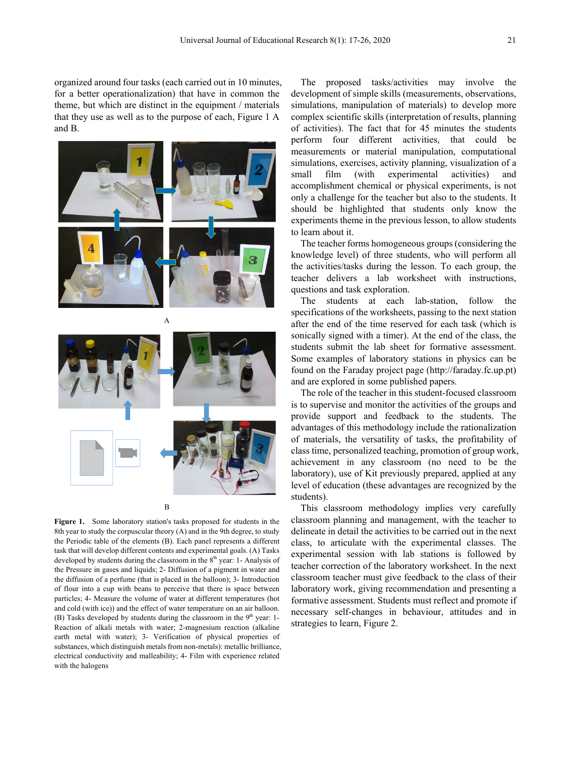organized around four tasks (each carried out in 10 minutes, for a better operationalization) that have in common the theme, but which are distinct in the equipment / materials that they use as well as to the purpose of each, Figure 1 A and B.



B

**Figure 1.** Some laboratory station's tasks proposed for students in the 8th year to study the corpuscular theory (A) and in the 9th degree, to study the Periodic table of the elements (B). Each panel represents a different task that will develop different contents and experimental goals. (A) Tasks developed by students during the classroom in the  $8<sup>th</sup>$  year: 1- Analysis of the Pressure in gases and liquids; 2- Diffusion of a pigment in water and the diffusion of a perfume (that is placed in the balloon); 3- Introduction of flour into a cup with beans to perceive that there is space between particles; 4- Measure the volume of water at different temperatures (hot and cold (with ice)) and the effect of water temperature on an air balloon. (B) Tasks developed by students during the classroom in the  $9<sup>th</sup>$  year: 1-Reaction of alkali metals with water; 2-magnesium reaction (alkaline earth metal with water); 3- Verification of physical properties of substances, which distinguish metals from non-metals): metallic brilliance, electrical conductivity and malleability; 4- Film with experience related with the halogens

The proposed tasks/activities may involve the development of simple skills (measurements, observations, simulations, manipulation of materials) to develop more complex scientific skills (interpretation of results, planning of activities). The fact that for 45 minutes the students perform four different activities, that could be measurements or material manipulation, computational simulations, exercises, activity planning, visualization of a small film (with experimental activities) and accomplishment chemical or physical experiments, is not only a challenge for the teacher but also to the students. It should be highlighted that students only know the experiments theme in the previous lesson, to allow students to learn about it.

The teacher forms homogeneous groups (considering the knowledge level) of three students, who will perform all the activities/tasks during the lesson. To each group, the teacher delivers a lab worksheet with instructions, questions and task exploration.

The students at each lab-station, follow the specifications of the worksheets, passing to the next station after the end of the time reserved for each task (which is sonically signed with a timer). At the end of the class, the students submit the lab sheet for formative assessment. Some examples of laboratory stations in physics can be found on the Faraday project page (http://faraday.fc.up.pt) and are explored in some published papers.

The role of the teacher in this student-focused classroom is to supervise and monitor the activities of the groups and provide support and feedback to the students. The advantages of this methodology include the rationalization of materials, the versatility of tasks, the profitability of class time, personalized teaching, promotion of group work, achievement in any classroom (no need to be the laboratory), use of Kit previously prepared, applied at any level of education (these advantages are recognized by the students).

This classroom methodology implies very carefully classroom planning and management, with the teacher to delineate in detail the activities to be carried out in the next class, to articulate with the experimental classes. The experimental session with lab stations is followed by teacher correction of the laboratory worksheet. In the next classroom teacher must give feedback to the class of their laboratory work, giving recommendation and presenting a formative assessment. Students must reflect and promote if necessary self-changes in behaviour, attitudes and in strategies to learn, Figure 2.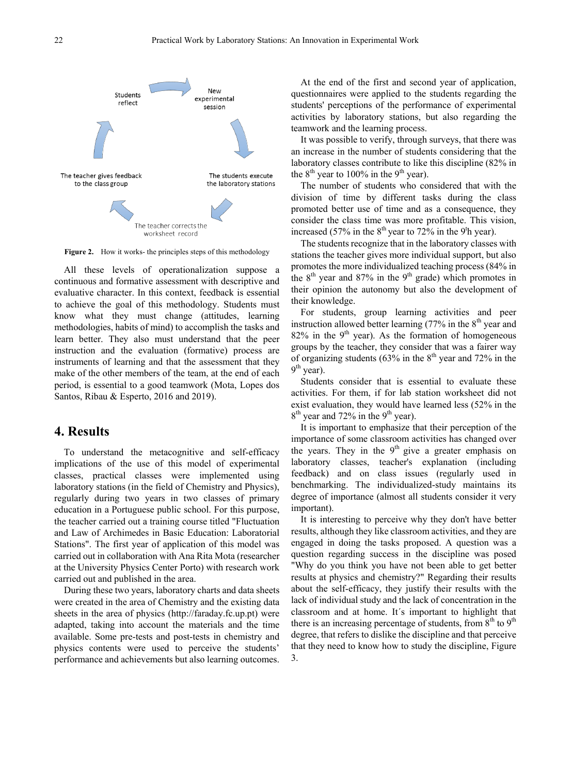

**Figure 2.** How it works- the principles steps of this methodology

All these levels of operationalization suppose a continuous and formative assessment with descriptive and evaluative character. In this context, feedback is essential to achieve the goal of this methodology. Students must know what they must change (attitudes, learning methodologies, habits of mind) to accomplish the tasks and learn better. They also must understand that the peer instruction and the evaluation (formative) process are instruments of learning and that the assessment that they make of the other members of the team, at the end of each period, is essential to a good teamwork (Mota, Lopes dos Santos, Ribau & Esperto, 2016 and 2019).

## **4. Results**

To understand the metacognitive and self-efficacy implications of the use of this model of experimental classes, practical classes were implemented using laboratory stations (in the field of Chemistry and Physics), regularly during two years in two classes of primary education in a Portuguese public school. For this purpose, the teacher carried out a training course titled "Fluctuation and Law of Archimedes in Basic Education: Laboratorial Stations". The first year of application of this model was carried out in collaboration with Ana Rita Mota (researcher at the University Physics Center Porto) with research work carried out and published in the area.

During these two years, laboratory charts and data sheets were created in the area of Chemistry and the existing data sheets in the area of physics (http://faraday.fc.up.pt) were adapted, taking into account the materials and the time available. Some pre-tests and post-tests in chemistry and physics contents were used to perceive the students' performance and achievements but also learning outcomes.

At the end of the first and second year of application, questionnaires were applied to the students regarding the students' perceptions of the performance of experimental activities by laboratory stations, but also regarding the teamwork and the learning process.

It was possible to verify, through surveys, that there was an increase in the number of students considering that the laboratory classes contribute to like this discipline (82% in the  $8<sup>th</sup>$  year to 100% in the 9<sup>th</sup> year).

The number of students who considered that with the division of time by different tasks during the class promoted better use of time and as a consequence, they consider the class time was more profitable. This vision, increased (57% in the  $8<sup>th</sup>$  year to 72% in the 9<sup>t</sup>h year).

The students recognize that in the laboratory classes with stations the teacher gives more individual support, but also promotes the more individualized teaching process (84% in the  $8<sup>th</sup>$  year and  $87\%$  in the  $9<sup>th</sup>$  grade) which promotes in their opinion the autonomy but also the development of their knowledge.

For students, group learning activities and peer instruction allowed better learning  $(77\%$  in the  $8<sup>th</sup>$  year and  $82\%$  in the 9<sup>th</sup> year). As the formation of homogeneous groups by the teacher, they consider that was a fairer way of organizing students (63% in the  $8<sup>th</sup>$  year and 72% in the  $9<sup>th</sup>$  year).

Students consider that is essential to evaluate these activities. For them, if for lab station worksheet did not exist evaluation, they would have learned less (52% in the  $8<sup>th</sup>$  year and 72% in the 9<sup>th</sup> year).

It is important to emphasize that their perception of the importance of some classroom activities has changed over the years. They in the  $9<sup>th</sup>$  give a greater emphasis on laboratory classes, teacher's explanation (including feedback) and on class issues (regularly used in benchmarking. The individualized-study maintains its degree of importance (almost all students consider it very important).

It is interesting to perceive why they don't have better results, although they like classroom activities, and they are engaged in doing the tasks proposed. A question was a question regarding success in the discipline was posed "Why do you think you have not been able to get better results at physics and chemistry?" Regarding their results about the self-efficacy, they justify their results with the lack of individual study and the lack of concentration in the classroom and at home. It´s important to highlight that there is an increasing percentage of students, from  $8<sup>th</sup>$  to  $9<sup>th</sup>$ degree, that refers to dislike the discipline and that perceive that they need to know how to study the discipline, Figure 3.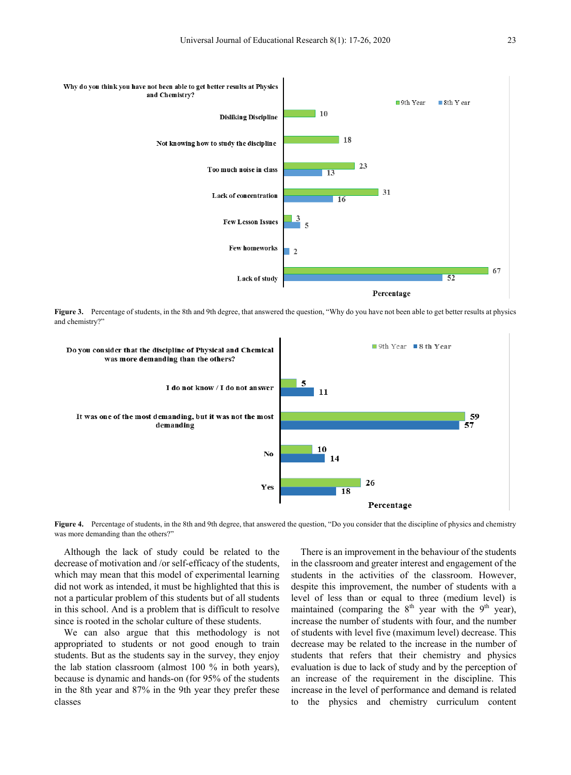

**Figure 3.** Percentage of students, in the 8th and 9th degree, that answered the question, "Why do you have not been able to get better results at physics and chemistry?"



**Figure 4.** Percentage of students, in the 8th and 9th degree, that answered the question, "Do you consider that the discipline of physics and chemistry was more demanding than the others?"

Although the lack of study could be related to the decrease of motivation and /or self-efficacy of the students, which may mean that this model of experimental learning did not work as intended, it must be highlighted that this is not a particular problem of this students but of all students in this school. And is a problem that is difficult to resolve since is rooted in the scholar culture of these students.

We can also argue that this methodology is not appropriated to students or not good enough to train students. But as the students say in the survey, they enjoy the lab station classroom (almost 100 % in both years), because is dynamic and hands-on (for 95% of the students in the 8th year and 87% in the 9th year they prefer these classes

There is an improvement in the behaviour of the students in the classroom and greater interest and engagement of the students in the activities of the classroom. However, despite this improvement, the number of students with a level of less than or equal to three (medium level) is maintained (comparing the  $8<sup>th</sup>$  year with the  $9<sup>th</sup>$  year), increase the number of students with four, and the number of students with level five (maximum level) decrease. This decrease may be related to the increase in the number of students that refers that their chemistry and physics evaluation is due to lack of study and by the perception of an increase of the requirement in the discipline. This increase in the level of performance and demand is related to the physics and chemistry curriculum content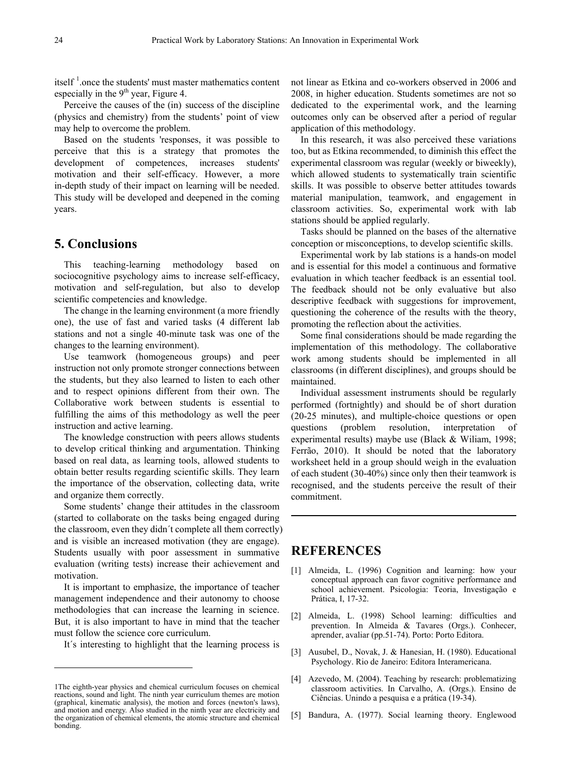itself  $<sup>1</sup>$  $<sup>1</sup>$  $<sup>1</sup>$  once the students' must master mathematics content</sup> especially in the  $9<sup>th</sup>$  year, Figure 4.

Perceive the causes of the (in) success of the discipline (physics and chemistry) from the students' point of view may help to overcome the problem.

Based on the students 'responses, it was possible to perceive that this is a strategy that promotes the development of competences, increases students' motivation and their self-efficacy. However, a more in-depth study of their impact on learning will be needed. This study will be developed and deepened in the coming years.

# **5. Conclusions**

This teaching-learning methodology based on sociocognitive psychology aims to increase self-efficacy, motivation and self-regulation, but also to develop scientific competencies and knowledge.

The change in the learning environment (a more friendly one), the use of fast and varied tasks (4 different lab stations and not a single 40-minute task was one of the changes to the learning environment).

Use teamwork (homogeneous groups) and peer instruction not only promote stronger connections between the students, but they also learned to listen to each other and to respect opinions different from their own. The Collaborative work between students is essential to fulfilling the aims of this methodology as well the peer instruction and active learning.

The knowledge construction with peers allows students to develop critical thinking and argumentation. Thinking based on real data, as learning tools, allowed students to obtain better results regarding scientific skills. They learn the importance of the observation, collecting data, write and organize them correctly.

Some students' change their attitudes in the classroom (started to collaborate on the tasks being engaged during the classroom, even they didn´t complete all them correctly) and is visible an increased motivation (they are engage). Students usually with poor assessment in summative evaluation (writing tests) increase their achievement and motivation.

It is important to emphasize, the importance of teacher management independence and their autonomy to choose methodologies that can increase the learning in science. But, it is also important to have in mind that the teacher must follow the science core curriculum.

It´s interesting to highlight that the learning process is

 $\overline{a}$ 

not linear as Etkina and co-workers observed in 2006 and 2008, in higher education. Students sometimes are not so dedicated to the experimental work, and the learning outcomes only can be observed after a period of regular application of this methodology.

In this research, it was also perceived these variations too, but as Etkina recommended, to diminish this effect the experimental classroom was regular (weekly or biweekly), which allowed students to systematically train scientific skills. It was possible to observe better attitudes towards material manipulation, teamwork, and engagement in classroom activities. So, experimental work with lab stations should be applied regularly.

Tasks should be planned on the bases of the alternative conception or misconceptions, to develop scientific skills.

Experimental work by lab stations is a hands-on model and is essential for this model a continuous and formative evaluation in which teacher feedback is an essential tool. The feedback should not be only evaluative but also descriptive feedback with suggestions for improvement, questioning the coherence of the results with the theory, promoting the reflection about the activities.

Some final considerations should be made regarding the implementation of this methodology. The collaborative work among students should be implemented in all classrooms (in different disciplines), and groups should be maintained.

Individual assessment instruments should be regularly performed (fortnightly) and should be of short duration (20-25 minutes), and multiple-choice questions or open questions (problem resolution, interpretation of experimental results) maybe use (Black & Wiliam, 1998; Ferrão, 2010). It should be noted that the laboratory worksheet held in a group should weigh in the evaluation of each student (30-40%) since only then their teamwork is recognised, and the students perceive the result of their commitment.

## **REFERENCES**

- [1] Almeida, L. (1996) Cognition and learning: how your conceptual approach can favor cognitive performance and school achievement. Psicologia: Teoria, Investigação e Prática, I, 17-32.
- [2] Almeida, L. (1998) School learning: difficulties and prevention. In Almeida & Tavares (Orgs.). Conhecer, aprender, avaliar (pp.51-74). Porto: Porto Editora.
- [3] Ausubel, D., Novak, J. & Hanesian, H. (1980). Educational Psychology. Rio de Janeiro: Editora Interamericana.
- [4] Azevedo, M. (2004). Teaching by research: problematizing classroom activities. In Carvalho, A. (Orgs.). Ensino de Ciências. Unindo a pesquisa e a prática (19-34).
- [5] Bandura, A. (1977). Social learning theory. Englewood

<span id="page-7-0"></span><sup>1</sup>The eighth-year physics and chemical curriculum focuses on chemical reactions, sound and light. The ninth year curriculum themes are motion (graphical, kinematic analysis), the motion and forces (newton's laws), and motion and energy. Also studied in the ninth year are electricity and the organization of chemical elements, the atomic structure and chemical bonding.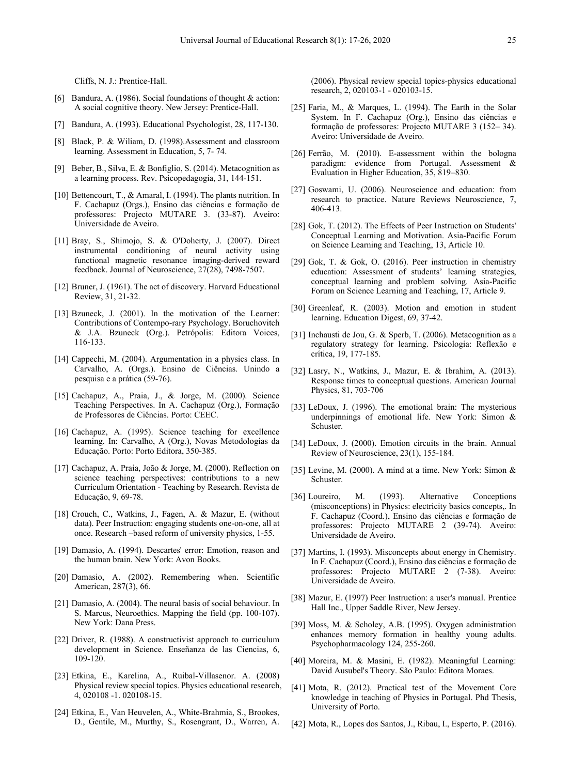Cliffs, N. J.: Prentice-Hall.

- [6] Bandura, A. (1986). Social foundations of thought & action: A social cognitive theory. New Jersey: Prentice-Hall.
- [7] Bandura, A. (1993). Educational Psychologist, 28, 117-130.
- [8] Black, P. & Wiliam, D. (1998).Assessment and classroom learning. Assessment in Education, 5, 7- 74.
- [9] Beber, B., Silva, E. & Bonfiglio, S. (2014). Metacognition as a learning process. Rev. Psicopedagogia, 31, 144-151.
- [10] Bettencourt, T., & Amaral, I. (1994). The plants nutrition. In F. Cachapuz (Orgs.), Ensino das ciências e formação de professores: Projecto MUTARE 3. (33-87). Aveiro: Universidade de Aveiro.
- [11] Bray, S., Shimojo, S. & O'Doherty, J. (2007). Direct instrumental conditioning of neural activity using functional magnetic resonance imaging-derived reward feedback. Journal of Neuroscience, 27(28), 7498-7507.
- [12] Bruner, J. (1961). The act of discovery. Harvard Educational Review, 31, 21-32.
- [13] Bzuneck, J. (2001). In the motivation of the Learner: Contributions of Contempo-rary Psychology. Boruchovitch & J.A. Bzuneck (Org.). Petrópolis: Editora Voices, 116-133.
- [14] Cappechi, M. (2004). Argumentation in a physics class. In Carvalho, A. (Orgs.). Ensino de Ciências. Unindo a pesquisa e a prática (59-76).
- [15] Cachapuz, A., Praia, J., & Jorge, M. (2000). Science Teaching Perspectives. In A. Cachapuz (Org.), Formação de Professores de Ciências. Porto: CEEC.
- [16] Cachapuz, A. (1995). Science teaching for excellence learning. In: Carvalho, A (Org.), Novas Metodologias da Educação. Porto: Porto Editora, 350-385.
- [17] Cachapuz, A. Praia, João & Jorge, M. (2000). Reflection on science teaching perspectives: contributions to a new Curriculum Orientation - Teaching by Research. Revista de Educação, 9, 69-78.
- [18] Crouch, C., Watkins, J., Fagen, A. & Mazur, E. (without data). Peer Instruction: engaging students one-on-one, all at once. Research –based reform of university physics, 1-55.
- [19] Damasio, A. (1994). Descartes' error: Emotion, reason and the human brain. New York: Avon Books.
- [20] Damasio, A. (2002). Remembering when. Scientific American, 287(3), 66.
- [21] Damasio, A. (2004). The neural basis of social behaviour. In S. Marcus, Neuroethics. Mapping the field (pp. 100-107). New York: Dana Press.
- [22] Driver, R. (1988). A constructivist approach to curriculum development in Science. Enseñanza de las Ciencias, 6, 109-120.
- [23] Etkina, E., Karelina, A., Ruibal-Villasenor. A. (2008) Physical review special topics. Physics educational research, 4, 020108 -1. 020108-15.
- [24] Etkina, E., Van Heuvelen, A., White-Brahmia, S., Brookes, D., Gentile, M., Murthy, S., Rosengrant, D., Warren, A.

(2006). Physical review special topics-physics educational research, 2, 020103-1 - 020103-15.

- [25] Faria, M., & Marques, L. (1994). The Earth in the Solar System. In F. Cachapuz (Org.), Ensino das ciências e formação de professores: Projecto MUTARE 3 (152– 34). Aveiro: Universidade de Aveiro.
- [26] Ferrão, M. (2010). E-assessment within the bologna paradigm: evidence from Portugal. Assessment & Evaluation in Higher Education, 35, 819–830.
- [27] Goswami, U. (2006). Neuroscience and education: from research to practice. Nature Reviews Neuroscience, 7, 406-413.
- [28] Gok, T. (2012). The Effects of Peer Instruction on Students' Conceptual Learning and Motivation. Asia-Pacific Forum on Science Learning and Teaching, 13, Article 10.
- [29] Gok, T. & Gok, O. (2016). Peer instruction in chemistry education: Assessment of students' learning strategies, conceptual learning and problem solving. Asia-Pacific Forum on Science Learning and Teaching, 17, Article 9.
- [30] Greenleaf, R. (2003). Motion and emotion in student learning. Education Digest, 69, 37-42.
- [31] Inchausti de Jou, G. & Sperb, T. (2006). Metacognition as a regulatory strategy for learning. Psicologia: Reflexão e crítica, 19, 177-185.
- [32] Lasry, N., Watkins, J., Mazur, E. & Ibrahim, A. (2013). Response times to conceptual questions. American Journal Physics, 81, 703-706
- [33] LeDoux, J. (1996). The emotional brain: The mysterious underpinnings of emotional life. New York: Simon & Schuster.
- [34] LeDoux, J. (2000). Emotion circuits in the brain. Annual Review of Neuroscience, 23(1), 155-184.
- [35] Levine, M. (2000). A mind at a time. New York: Simon & Schuster.
- [36] Loureiro, M. (1993). Alternative Conceptions (misconceptions) in Physics: electricity basics concepts,. In F. Cachapuz (Coord.), Ensino das ciências e formação de professores: Projecto MUTARE 2 (39-74). Aveiro: Universidade de Aveiro.
- [37] Martins, I. (1993). Misconcepts about energy in Chemistry. In F. Cachapuz (Coord.), Ensino das ciências e formação de professores: Projecto MUTARE 2 (7-38). Aveiro: Universidade de Aveiro.
- [38] Mazur, E. (1997) Peer Instruction: a user's manual. Prentice Hall Inc., Upper Saddle River, New Jersey.
- [39] Moss, M. & Scholey, A.B. (1995). Oxygen administration enhances memory formation in healthy young adults. Psychopharmacology 124, 255-260.
- [40] Moreira, M. & Masini, E. (1982). Meaningful Learning: David Ausubel's Theory. São Paulo: Editora Moraes.
- [41] Mota, R. (2012). Practical test of the Movement Core knowledge in teaching of Physics in Portugal. Phd Thesis, University of Porto.
- [42] Mota, R., Lopes dos Santos, J., Ribau, I., Esperto, P. (2016).